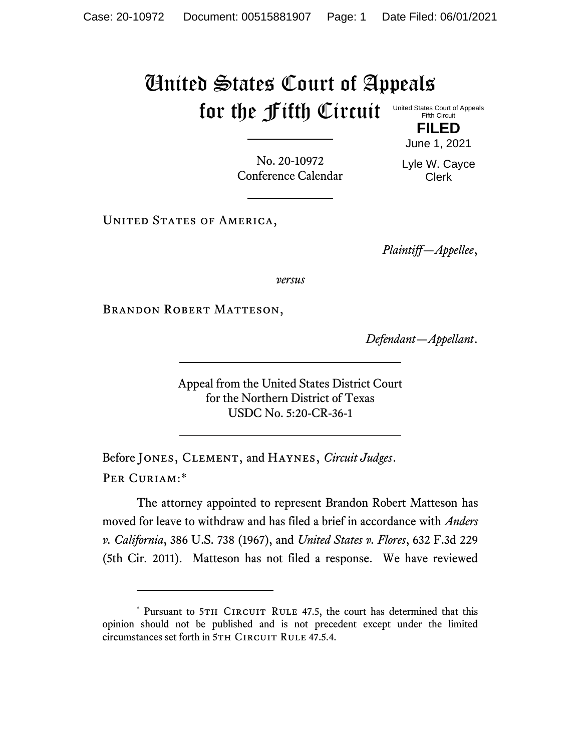## United States Court of Appeals for the Fifth Circuit United States Court of Appeals Fifth Circuit

No. 20-10972 Conference Calendar

June 1, 2021 Lyle W. Cayce

Clerk

**FILED**

UNITED STATES OF AMERICA,

*Plaintiff—Appellee*,

*versus*

Brandon Robert Matteson,

*Defendant—Appellant*.

Appeal from the United States District Court for the Northern District of Texas USDC No. 5:20-CR-36-1

Before Jones, Clement, and Haynes, *Circuit Judges*. Per Curiam:\*

The attorney appointed to represent Brandon Robert Matteson has moved for leave to withdraw and has filed a brief in accordance with *Anders v. California*, 386 U.S. 738 (1967), and *United States v. Flores*, 632 F.3d 229 (5th Cir. 2011). Matteson has not filed a response. We have reviewed

<sup>\*</sup> Pursuant to 5TH CIRCUIT RULE 47.5, the court has determined that this opinion should not be published and is not precedent except under the limited circumstances set forth in 5TH CIRCUIT RULE 47.5.4.